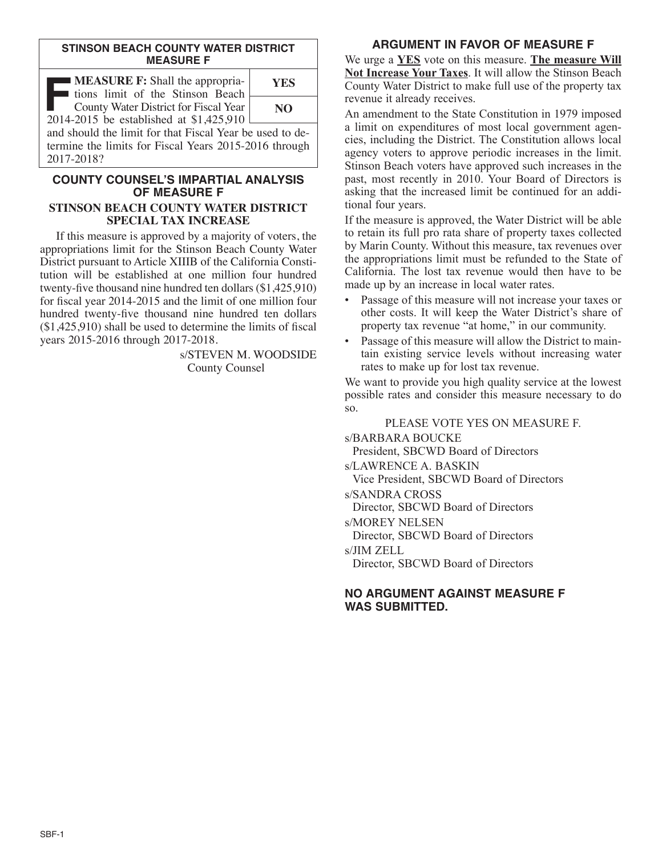#### **STINSON BEACH COUNTY WATER DISTRICT MEASURE F**

| <b>MEASURE F:</b> Shall the appropria-<br>I tions limit of the Stinson Beach                                      | <b>YES</b> |
|-------------------------------------------------------------------------------------------------------------------|------------|
| County Water District for Fiscal Year<br>2014-2015 be established at \$1,425,910                                  | NO.        |
| and should the limit for that Fiscal Year be used to de-<br>termine the limits for Fiscal Years 2015-2016 through |            |

2017-2018?

#### **COUNTY COUNSEL'S IMPARTIAL ANALYSIS OF MEASURE F STINSON BEACH COUNTY WATER DISTRICT SPECIAL TAX INCREASE**

If this measure is approved by a majority of voters, the appropriations limit for the Stinson Beach County Water District pursuant to Article XIIIB of the California Constitution will be established at one million four hundred twenty-five thousand nine hundred ten dollars (\$1,425,910) for fiscal year 2014-2015 and the limit of one million four hundred twenty-five thousand nine hundred ten dollars (\$1,425,910) shall be used to determine the limits of fiscal years 2015-2016 through 2017-2018.

> s/STEVEN M. WOODSIDE County Counsel

# **ARGUMENT IN FAVOR OF MEASURE F**

We urge a **YES** vote on this measure. **The measure Will Not Increase Your Taxes**. It will allow the Stinson Beach County Water District to make full use of the property tax revenue it already receives.

An amendment to the State Constitution in 1979 imposed a limit on expenditures of most local government agencies, including the District. The Constitution allows local agency voters to approve periodic increases in the limit. Stinson Beach voters have approved such increases in the past, most recently in 2010. Your Board of Directors is asking that the increased limit be continued for an additional four years.

If the measure is approved, the Water District will be able to retain its full pro rata share of property taxes collected by Marin County. Without this measure, tax revenues over the appropriations limit must be refunded to the State of California. The lost tax revenue would then have to be made up by an increase in local water rates.

- Passage of this measure will not increase your taxes or other costs. It will keep the Water District's share of property tax revenue "at home," in our community.
- Passage of this measure will allow the District to maintain existing service levels without increasing water rates to make up for lost tax revenue.

We want to provide you high quality service at the lowest possible rates and consider this measure necessary to do so.

PLEASE VOTE YES ON MEASURE F. s/BARBARA BOUCKE President, SBCWD Board of Directors s/LAWRENCE A. BASKIN Vice President, SBCWD Board of Directors s/SANDRA CROSS Director, SBCWD Board of Directors s/MOREY NELSEN

Director, SBCWD Board of Directors

s/JIM ZELL

Director, SBCWD Board of Directors

### **NO ARGUMENT AGAINST MEASURE F WAS SUBMITTED.**